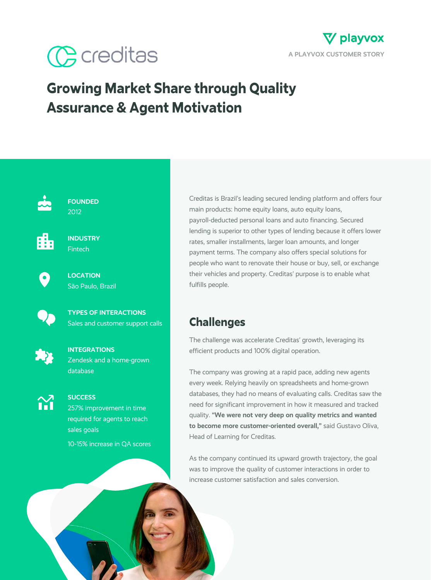



# **Growing Market Share through Quality Assurance & Agent Motivation**



**FOUNDED** 2012



**INDUSTRY Fintech** 



**LOCATION** São Paulo, Brazil



**TYPES OF INTERACTIONS** Sales and customer support calls



**INTEGRATIONS** Zendesk and a home-grown database



**SUCCESS** 257% improvement in time required for agents to reach sales goals

10-15% increase in QA scores

Creditas is Brazil's leading secured lending platform and offers four main products: home equity loans, auto equity loans, payroll-deducted personal loans and auto financing. Secured lending is superior to other types of lending because it offers lower rates, smaller installments, larger loan amounts, and longer payment terms. The company also offers special solutions for people who want to renovate their house or buy, sell, or exchange their vehicles and property. Creditas' purpose is to enable what fulfills people.

### **Challenges**

The challenge was accelerate Creditas' growth, leveraging its efficient products and 100% digital operation.

The company was growing at a rapid pace, adding new agents every week. Relying heavily on spreadsheets and home-grown databases, they had no means of evaluating calls. Creditas saw the need for significant improvement in how it measured and tracked quality. **"We were not very deep on quality metrics and wanted to become more customer-oriented overall,"** said Gustavo Oliva, Head of Learning for Creditas.

As the company continued its upward growth trajectory, the goal was to improve the quality of customer interactions in order to increase customer satisfaction and sales conversion.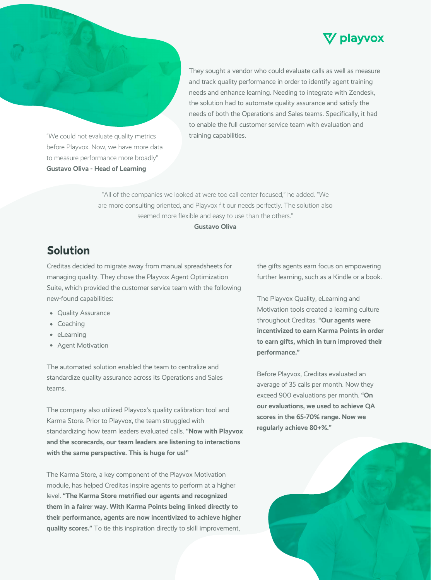



"We could not evaluate quality metrics before Playvox. Now, we have more data to measure performance more broadly" **Gustavo Oliva - Head of Learning**

They sought a vendor who could evaluate calls as well as measure and track quality performance in order to identify agent training needs and enhance learning. Needing to integrate with Zendesk, the solution had to automate quality assurance and satisfy the needs of both the Operations and Sales teams. Specifically, it had to enable the full customer service team with evaluation and training capabilities.

"All of the companies we looked at were too call center focused," he added. "We are more consulting oriented, and Playvox fit our needs perfectly. The solution also seemed more flexible and easy to use than the others." **Gustavo Oliva**

## **Solution**

Creditas decided to migrate away from manual spreadsheets for managing quality. They chose the Playvox Agent Optimization Suite, which provided the customer service team with the following new-found capabilities:

- Quality Assurance
- Coaching
- eLearning
- Agent Motivation

The automated solution enabled the team to centralize and standardize quality assurance across its Operations and Sales teams.

The company also utilized Playvox's quality calibration tool and Karma Store. Prior to Playvox, the team struggled with standardizing how team leaders evaluated calls. **"Now with Playvox and the scorecards, our team leaders are listening to interactions with the same perspective. This is huge for us!"**

The Karma Store, a key component of the Playvox Motivation module, has helped Creditas inspire agents to perform at a higher level. **"The Karma Store metrified our agents and recognized them in a fairer way. With Karma Points being linked directly to their performance, agents are now incentivized to achieve higher quality scores."** To tie this inspiration directly to skill improvement,

the gifts agents earn focus on empowering further learning, such as a Kindle or a book.

The Playvox Quality, eLearning and Motivation tools created a learning culture throughout Creditas. **"Our agents were incentivized to earn Karma Points in order to earn gifts, which in turn improved their performance."**

Before Playvox, Creditas evaluated an average of 35 calls per month. Now they exceed 900 evaluations per month. **"On our evaluations, we used to achieve QA scores in the 65-70% range. Now we regularly achieve 80+%."**